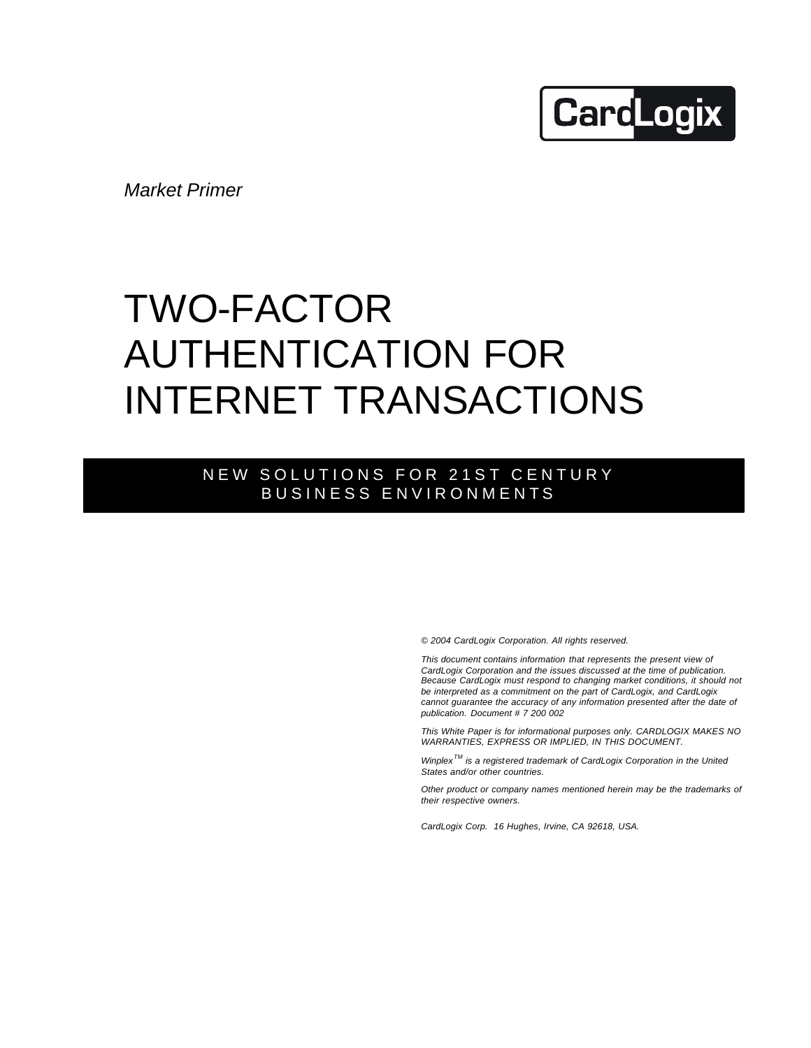# **CardLogix**

*Market Primer*

## TWO-FACTOR AUTHENTICATION FOR INTERNET TRANSACTIONS

### NEW SOLUTIONS FOR 21ST CENTURY BUSINESS ENVIRONMENTS

*© 2004 CardLogix Corporation. All rights reserved.*

*This document contains information that represents the present view of CardLogix Corporation and the issues discussed at the time of publication. Because CardLogix must respond to changing market conditions, it should not be interpreted as a commitment on the part of CardLogix, and CardLogix cannot guarantee the accuracy of any information presented after the date of publication. Document # 7 200 002*

*This White Paper is for informational purposes only. CARDLOGIX MAKES NO WARRANTIES, EXPRESS OR IMPLIED, IN THIS DOCUMENT.*

*Winplex TM is a registered trademark of CardLogix Corporation in the United States and/or other countries.*

*Other product or company names mentioned herein may be the trademarks of their respective owners.*

*CardLogix Corp. 16 Hughes, Irvine, CA 92618, USA.*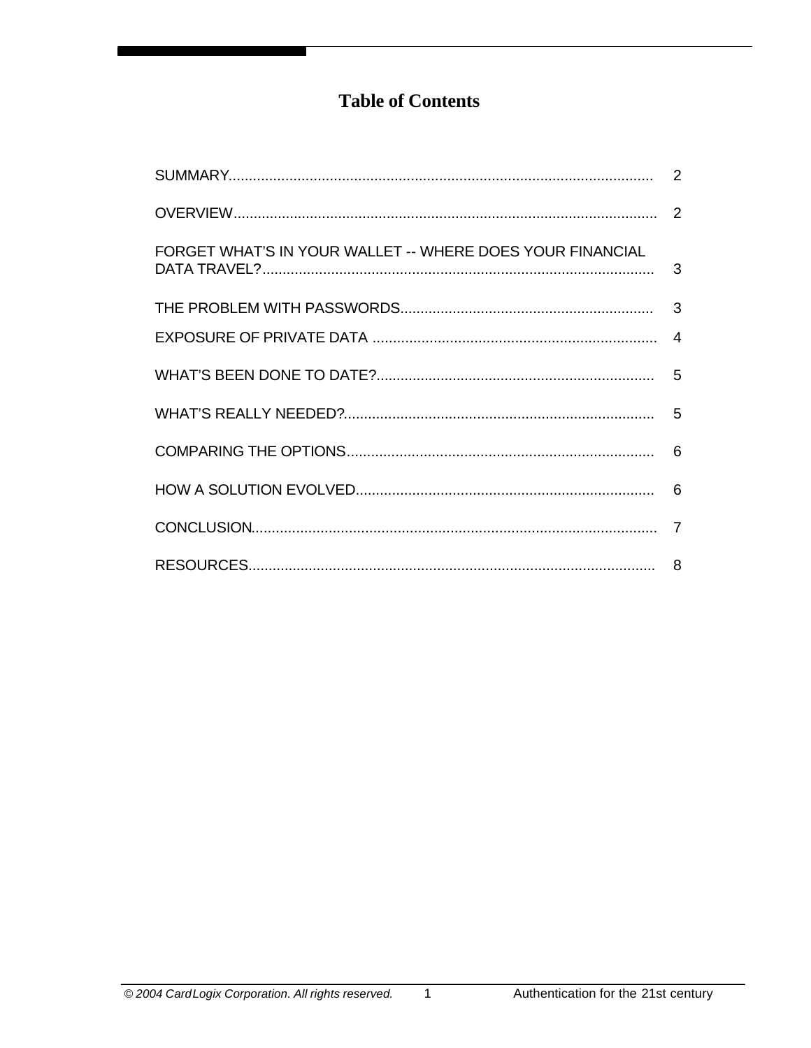## **Table of Contents**

| FORGET WHAT'S IN YOUR WALLET -- WHERE DOES YOUR FINANCIAL |  |
|-----------------------------------------------------------|--|
|                                                           |  |
|                                                           |  |
|                                                           |  |
|                                                           |  |
|                                                           |  |
|                                                           |  |
|                                                           |  |
|                                                           |  |

 $\overline{1}$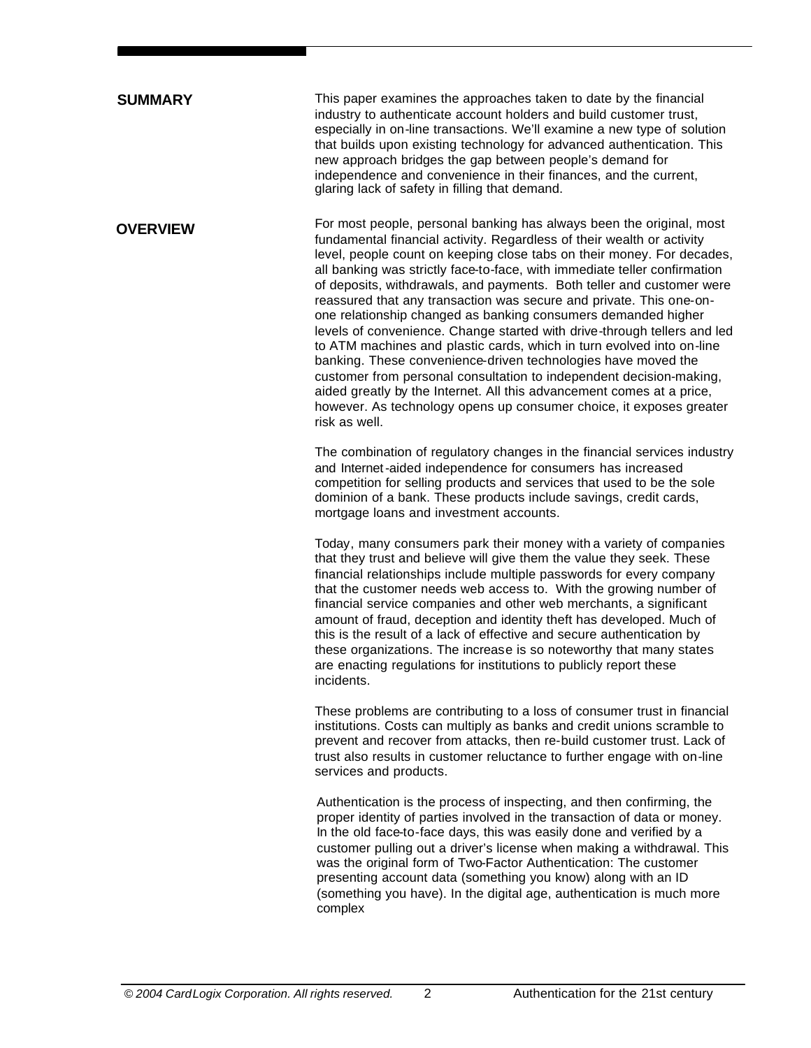#### This paper examines the approaches taken to date by the financial industry to authenticate account holders and build customer trust, especially in on-line transactions. We'll examine a new type of solution that builds upon existing technology for advanced authentication. This new approach bridges the gap between people's demand for independence and convenience in their finances, and the current, glaring lack of safety in filling that demand. For most people, personal banking has always been the original, most fundamental financial activity. Regardless of their wealth or activity level, people count on keeping close tabs on their money. For decades, all banking was strictly face-to-face, with immediate teller confirmation of deposits, withdrawals, and payments. Both teller and customer were reassured that any transaction was secure and private. This one-onone relationship changed as banking consumers demanded higher levels of convenience. Change started with drive-through tellers and led to ATM machines and plastic cards, which in turn evolved into on-line banking. These convenience-driven technologies have moved the customer from personal consultation to independent decision-making, aided greatly by the Internet. All this advancement comes at a price, however. As technology opens up consumer choice, it exposes greater risk as well. The combination of regulatory changes in the financial services industry and Internet-aided independence for consumers has increased competition for selling products and services that used to be the sole dominion of a bank. These products include savings, credit cards, mortgage loans and investment accounts. Today, many consumers park their money with a variety of companies that they trust and believe will give them the value they seek. These financial relationships include multiple passwords for every company that the customer needs web access to. With the growing number of **OVERVIEW SUMMARY**

financial service companies and other web merchants, a significant amount of fraud, deception and identity theft has developed. Much of this is the result of a lack of effective and secure authentication by these organizations. The increase is so noteworthy that many states are enacting regulations for institutions to publicly report these incidents.

These problems are contributing to a loss of consumer trust in financial institutions. Costs can multiply as banks and credit unions scramble to prevent and recover from attacks, then re-build customer trust. Lack of trust also results in customer reluctance to further engage with on-line services and products.

Authentication is the process of inspecting, and then confirming, the proper identity of parties involved in the transaction of data or money. In the old face-to-face days, this was easily done and verified by a customer pulling out a driver's license when making a withdrawal. This was the original form of Two-Factor Authentication: The customer presenting account data (something you know) along with an ID (something you have). In the digital age, authentication is much more complex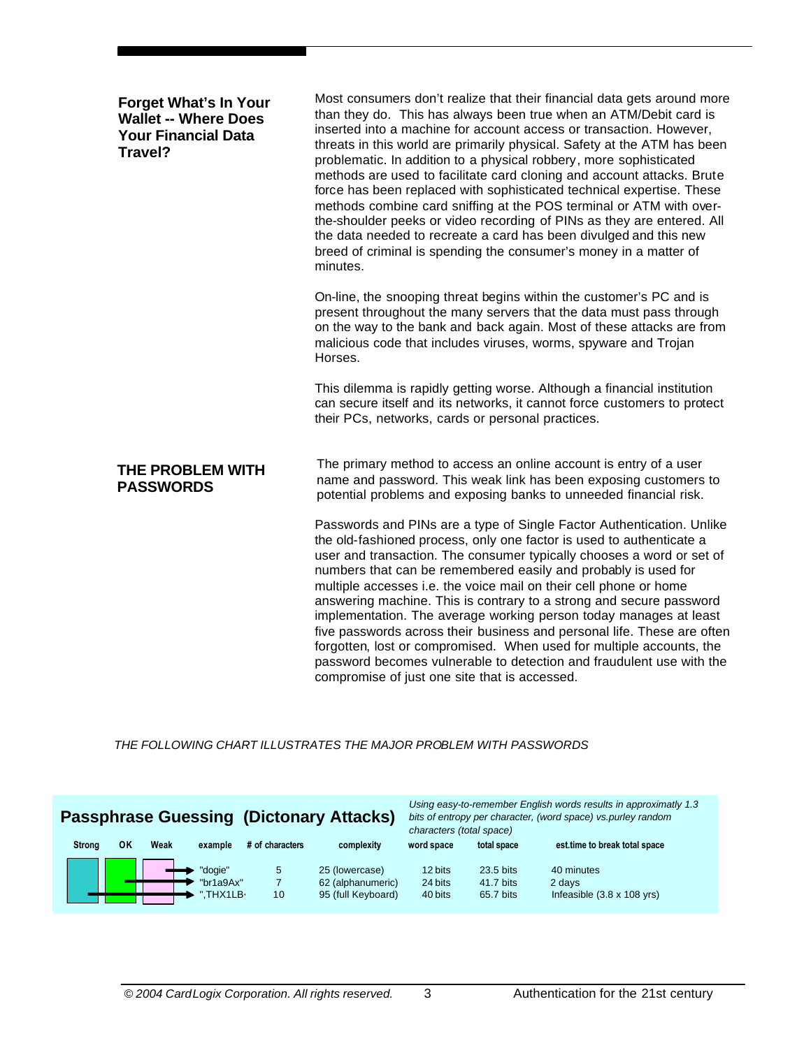| Most consumers don't realize that their financial data gets around more<br>than they do. This has always been true when an ATM/Debit card is<br>inserted into a machine for account access or transaction. However,<br>threats in this world are primarily physical. Safety at the ATM has been<br>problematic. In addition to a physical robbery, more sophisticated<br>methods are used to facilitate card cloning and account attacks. Brute<br>force has been replaced with sophisticated technical expertise. These<br>methods combine card sniffing at the POS terminal or ATM with over-<br>the-shoulder peeks or video recording of PINs as they are entered. All<br>the data needed to recreate a card has been divulged and this new<br>breed of criminal is spending the consumer's money in a matter of<br>minutes. |  |  |  |
|---------------------------------------------------------------------------------------------------------------------------------------------------------------------------------------------------------------------------------------------------------------------------------------------------------------------------------------------------------------------------------------------------------------------------------------------------------------------------------------------------------------------------------------------------------------------------------------------------------------------------------------------------------------------------------------------------------------------------------------------------------------------------------------------------------------------------------|--|--|--|
| On-line, the snooping threat begins within the customer's PC and is<br>present throughout the many servers that the data must pass through<br>on the way to the bank and back again. Most of these attacks are from<br>malicious code that includes viruses, worms, spyware and Trojan<br>Horses.                                                                                                                                                                                                                                                                                                                                                                                                                                                                                                                               |  |  |  |
| This dilemma is rapidly getting worse. Although a financial institution<br>can secure itself and its networks, it cannot force customers to protect<br>their PCs, networks, cards or personal practices.                                                                                                                                                                                                                                                                                                                                                                                                                                                                                                                                                                                                                        |  |  |  |
| The primary method to access an online account is entry of a user<br>name and password. This weak link has been exposing customers to<br>potential problems and exposing banks to unneeded financial risk.                                                                                                                                                                                                                                                                                                                                                                                                                                                                                                                                                                                                                      |  |  |  |
| Passwords and PINs are a type of Single Factor Authentication. Unlike<br>the old-fashioned process, only one factor is used to authenticate a<br>user and transaction. The consumer typically chooses a word or set of<br>numbers that can be remembered easily and probably is used for<br>multiple accesses i.e. the voice mail on their cell phone or home<br>answering machine. This is contrary to a strong and secure password<br>implementation. The average working person today manages at least<br>five passwords across their business and personal life. These are often<br>forgotten, lost or compromised. When used for multiple accounts, the<br>password becomes vulnerable to detection and fraudulent use with the<br>compromise of just one site that is accessed.                                           |  |  |  |
|                                                                                                                                                                                                                                                                                                                                                                                                                                                                                                                                                                                                                                                                                                                                                                                                                                 |  |  |  |

*THE FOLLOWING CHART ILLUSTRATES THE MAJOR PROBLEM WITH PASSWORDS* 

## **Passphrase Guessing (Dictonary Attacks)**

*Using easy-to-remember English words results in approximatly 1.3 bits of entropy per character, (word space) vs.purley random characters (total space)*

| <b>Strong</b> | ΟK | Weak | example                           | # of characters | complexity                                                | word space                    | total space                         | est time to break total space                                     |  |
|---------------|----|------|-----------------------------------|-----------------|-----------------------------------------------------------|-------------------------------|-------------------------------------|-------------------------------------------------------------------|--|
|               |    |      | "dogie"<br>"br1a9Ax"<br>".THX1LB- | 5<br>10         | 25 (lowercase)<br>62 (alphanumeric)<br>95 (full Keyboard) | 12 bits<br>24 bits<br>40 bits | 23.5 bits<br>41.7 bits<br>65.7 bits | 40 minutes<br>2 days<br>Infeasible $(3.8 \times 108 \text{ yrs})$ |  |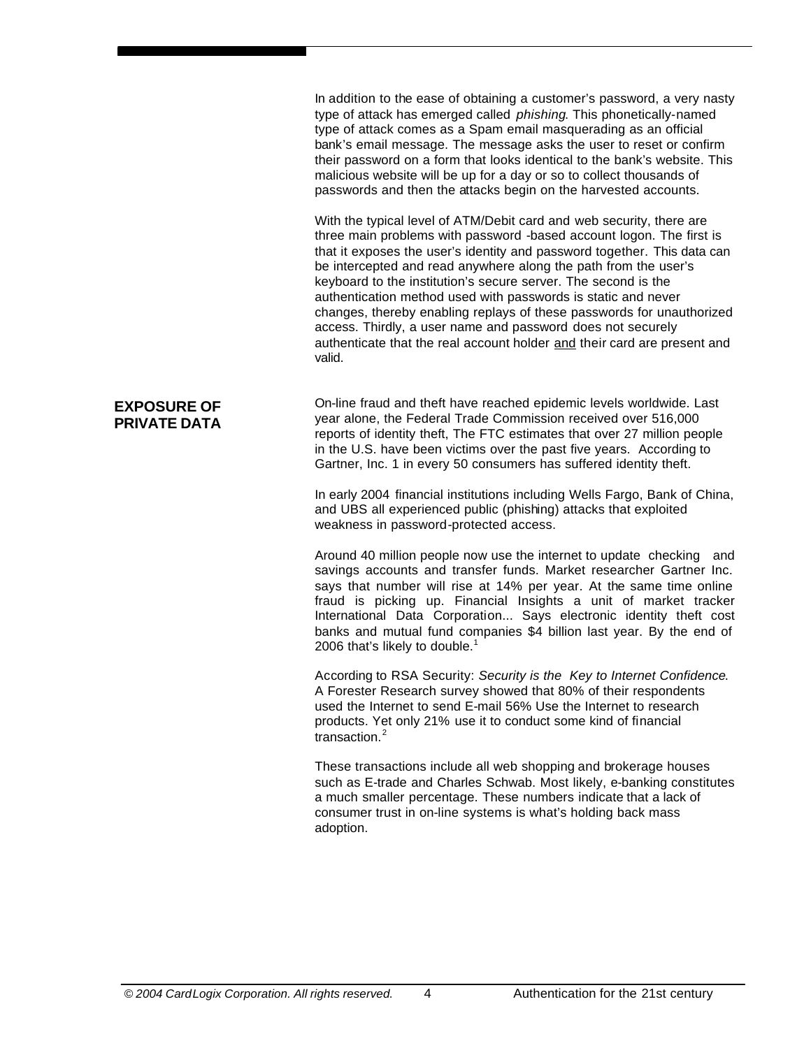In addition to the ease of obtaining a customer's password, a very nasty type of attack has emerged called *phishing*. This phonetically-named type of attack comes as a Spam email masquerading as an official bank's email message. The message asks the user to reset or confirm their password on a form that looks identical to the bank's website. This malicious website will be up for a day or so to collect thousands of passwords and then the attacks begin on the harvested accounts.

With the typical level of ATM/Debit card and web security, there are three main problems with password -based account logon. The first is that it exposes the user's identity and password together. This data can be intercepted and read anywhere along the path from the user's keyboard to the institution's secure server. The second is the authentication method used with passwords is static and never changes, thereby enabling replays of these passwords for unauthorized access. Thirdly, a user name and password does not securely authenticate that the real account holder and their card are present and valid.

#### **EXPOSURE OF PRIVATE DATA**

On-line fraud and theft have reached epidemic levels worldwide. Last year alone, the Federal Trade Commission received over 516,000 reports of identity theft, The FTC estimates that over 27 million people in the U.S. have been victims over the past five years. According to Gartner, Inc. 1 in every 50 consumers has suffered identity theft.

In early 2004 financial institutions including Wells Fargo, Bank of China, and UBS all experienced public (phishing) attacks that exploited weakness in password-protected access.

Around 40 million people now use the internet to update checking and savings accounts and transfer funds. Market researcher Gartner Inc. says that number will rise at 14% per year. At the same time online fraud is picking up. Financial Insights a unit of market tracker International Data Corporation... Says electronic identity theft cost banks and mutual fund companies \$4 billion last year. By the end of 2006 that's likely to double.<sup>1</sup>

According to RSA Security: *Security is the Key to Internet Confidence*. A Forester Research survey showed that 80% of their respondents used the Internet to send E-mail 56% Use the Internet to research products. Yet only 21% use it to conduct some kind of financial transaction.<sup>2</sup>

These transactions include all web shopping and brokerage houses such as E-trade and Charles Schwab. Most likely, e-banking constitutes a much smaller percentage. These numbers indicate that a lack of consumer trust in on-line systems is what's holding back mass adoption.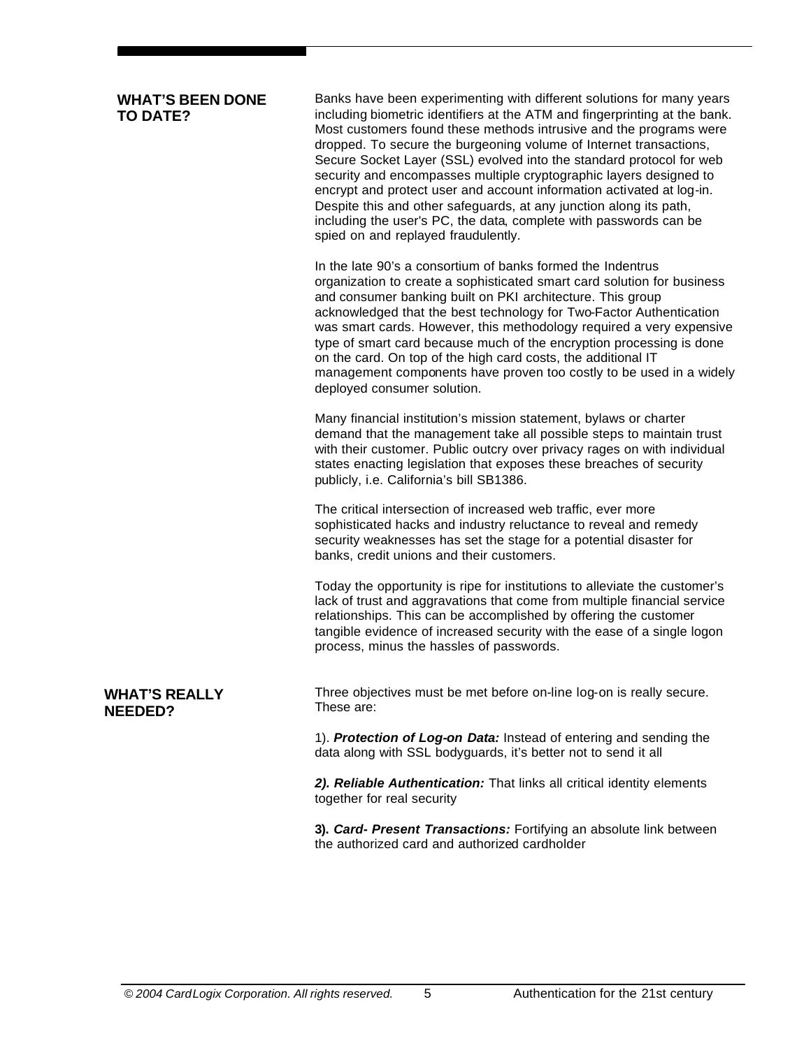#### **WHAT'S BEEN DONE TO DATE?**

Banks have been experimenting with different solutions for many years including biometric identifiers at the ATM and fingerprinting at the bank. Most customers found these methods intrusive and the programs were dropped. To secure the burgeoning volume of Internet transactions, Secure Socket Layer (SSL) evolved into the standard protocol for web security and encompasses multiple cryptographic layers designed to encrypt and protect user and account information activated at log-in. Despite this and other safeguards, at any junction along its path, including the user's PC, the data, complete with passwords can be spied on and replayed fraudulently.

In the late 90's a consortium of banks formed the Indentrus organization to create a sophisticated smart card solution for business and consumer banking built on PKI architecture. This group acknowledged that the best technology for Two-Factor Authentication was smart cards. However, this methodology required a very expensive type of smart card because much of the encryption processing is done on the card. On top of the high card costs, the additional IT management components have proven too costly to be used in a widely deployed consumer solution.

Many financial institution's mission statement, bylaws or charter demand that the management take all possible steps to maintain trust with their customer. Public outcry over privacy rages on with individual states enacting legislation that exposes these breaches of security publicly, i.e. California's bill SB1386.

The critical intersection of increased web traffic, ever more sophisticated hacks and industry reluctance to reveal and remedy security weaknesses has set the stage for a potential disaster for banks, credit unions and their customers.

Today the opportunity is ripe for institutions to alleviate the customer's lack of trust and aggravations that come from multiple financial service relationships. This can be accomplished by offering the customer tangible evidence of increased security with the ease of a single logon process, minus the hassles of passwords.

**WHAT'S REALLY NEEDED?**

Three objectives must be met before on-line log-on is really secure. These are:

1). *Protection of Log-on Data:* Instead of entering and sending the data along with SSL bodyguards, it's better not to send it all

*2). Reliable Authentication:* That links all critical identity elements together for real security

**3).** *Card- Present Transactions:* Fortifying an absolute link between the authorized card and authorized cardholder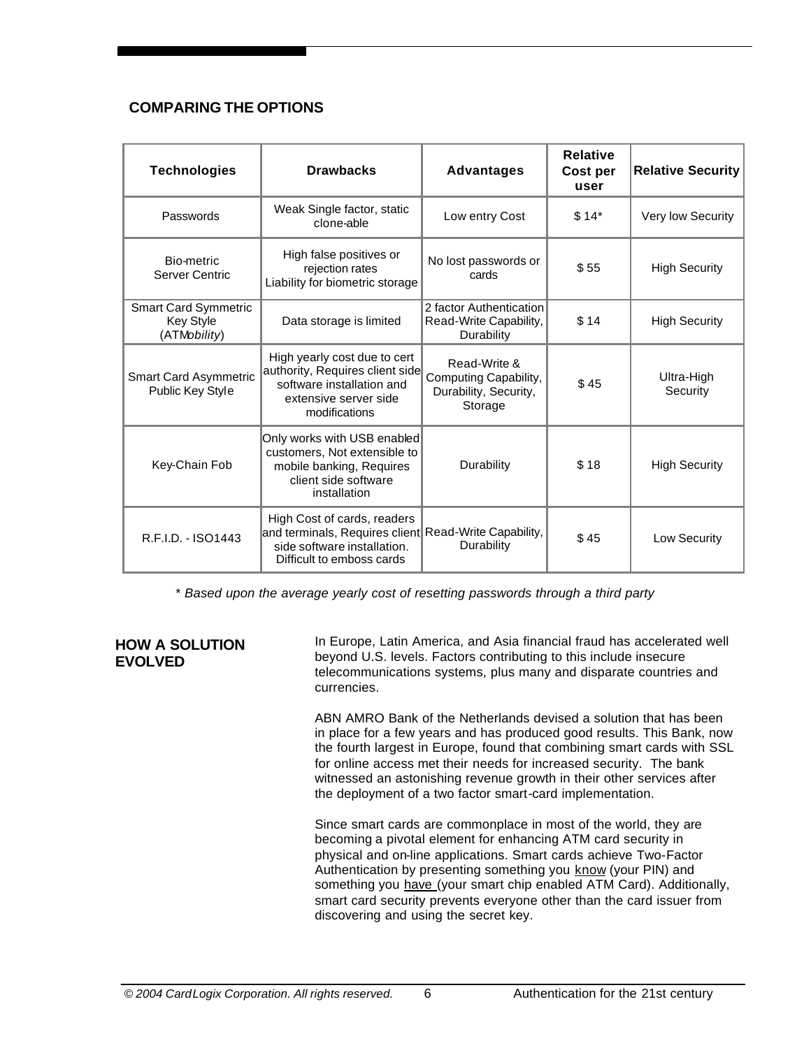#### **COMPARING THE OPTIONS**

| <b>Technologies</b>                                             | <b>Drawbacks</b>                                                                                                                       | <b>Advantages</b>                                                         | <b>Relative</b><br>Cost per<br>user | <b>Relative Security</b> |
|-----------------------------------------------------------------|----------------------------------------------------------------------------------------------------------------------------------------|---------------------------------------------------------------------------|-------------------------------------|--------------------------|
| Passwords                                                       | Weak Single factor, static<br>clone-able                                                                                               | Low entry Cost                                                            | $$14*$                              | Very low Security        |
| Bio-metric<br><b>Server Centric</b>                             | High false positives or<br>rejection rates<br>Liability for biometric storage                                                          | No lost passwords or<br>cards                                             | \$55                                |                          |
| <b>Smart Card Symmetric</b><br><b>Key Style</b><br>(ATMobility) | Data storage is limited                                                                                                                | 2 factor Authentication<br>Read-Write Capability,<br>Durability           | \$14                                | <b>High Security</b>     |
| <b>Smart Card Asymmetric</b><br>Public Key Style                | High yearly cost due to cert<br>authority, Requires client side<br>software installation and<br>extensive server side<br>modifications | Read-Write &<br>Computing Capability,<br>Durability, Security,<br>Storage | \$45                                | Ultra-High<br>Security   |
| Key-Chain Fob                                                   | Only works with USB enabled<br>customers, Not extensible to<br>mobile banking, Requires<br>client side software<br>installation        | Durability                                                                | \$18                                | <b>High Security</b>     |
| R.F.I.D. - ISO1443                                              | High Cost of cards, readers<br>and terminals, Requires client<br>side software installation.<br>Difficult to emboss cards              | Read-Write Capability,<br>Durability                                      | \$45                                | Low Security             |

\* *Based upon the average yearly cost of resetting passwords through a third party*

#### **HOW A SOLUTION EVOLVED**

In Europe, Latin America, and Asia financial fraud has accelerated well beyond U.S. levels. Factors contributing to this include insecure telecommunications systems, plus many and disparate countries and currencies.

ABN AMRO Bank of the Netherlands devised a solution that has been in place for a few years and has produced good results. This Bank, now the fourth largest in Europe, found that combining smart cards with SSL for online access met their needs for increased security. The bank witnessed an astonishing revenue growth in their other services after the deployment of a two factor smart-card implementation.

Since smart cards are commonplace in most of the world, they are becoming a pivotal element for enhancing ATM card security in physical and on-line applications. Smart cards achieve Two-Factor Authentication by presenting something you know (your PIN) and something you have (your smart chip enabled ATM Card). Additionally, smart card security prevents everyone other than the card issuer from discovering and using the secret key.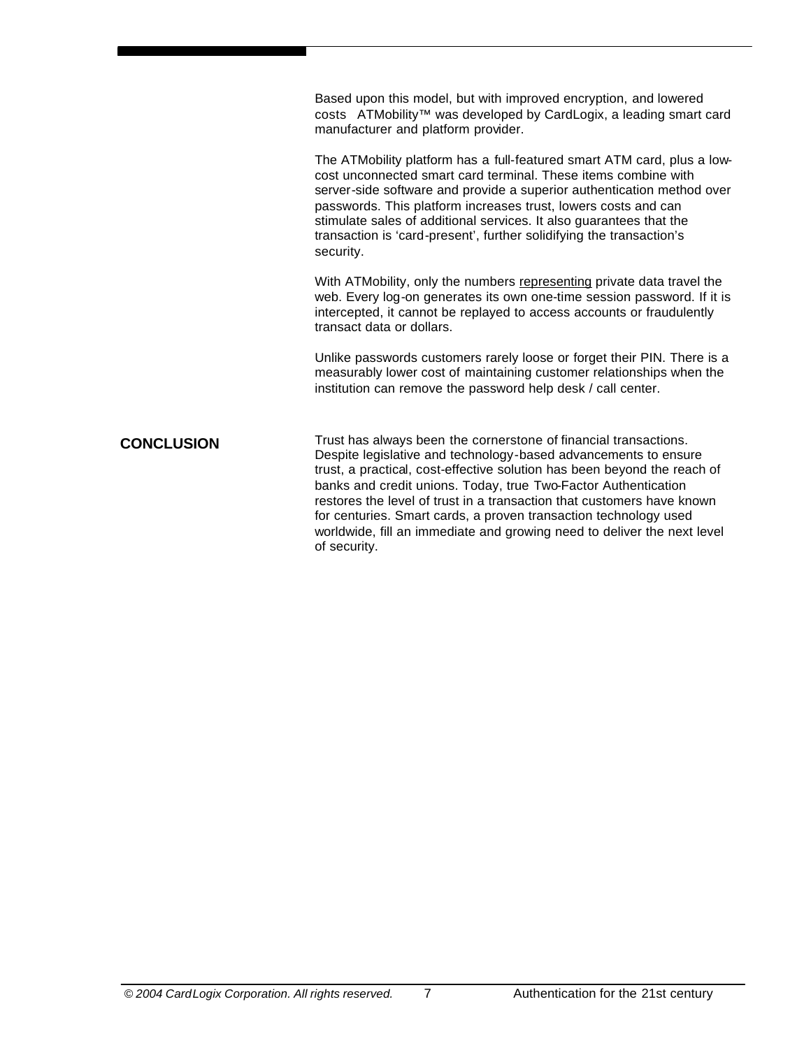Based upon this model, but with improved encryption, and lowered costs ATMobility™ was developed by CardLogix, a leading smart card manufacturer and platform provider.

The ATMobility platform has a full-featured smart ATM card, plus a lowcost unconnected smart card terminal. These items combine with server-side software and provide a superior authentication method over passwords. This platform increases trust, lowers costs and can stimulate sales of additional services. It also guarantees that the transaction is 'card-present', further solidifying the transaction's security.

With ATMobility, only the numbers representing private data travel the web. Every log-on generates its own one-time session password. If it is intercepted, it cannot be replayed to access accounts or fraudulently transact data or dollars.

Unlike passwords customers rarely loose or forget their PIN. There is a measurably lower cost of maintaining customer relationships when the institution can remove the password help desk / call center.

Trust has always been the cornerstone of financial transactions. Despite legislative and technology-based advancements to ensure trust, a practical, cost-effective solution has been beyond the reach of banks and credit unions. Today, true Two-Factor Authentication restores the level of trust in a transaction that customers have known for centuries. Smart cards, a proven transaction technology used worldwide, fill an immediate and growing need to deliver the next level of security. **CONCLUSION**